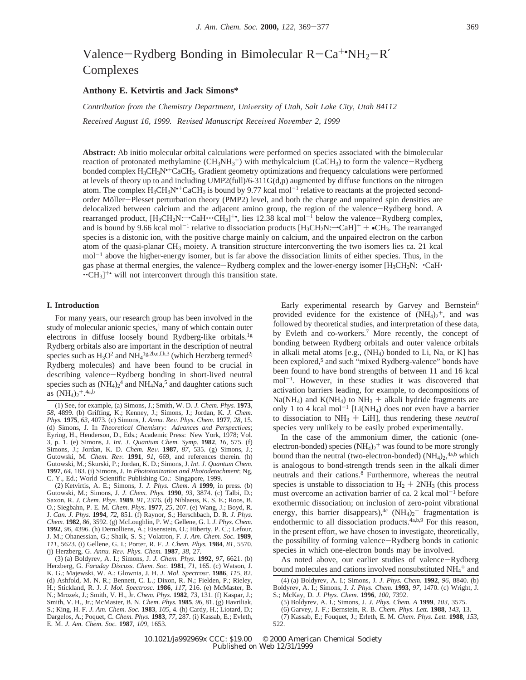# Valence-Rydberg Bonding in Bimolecular  $R - Ca^{+}NH_2 - R'$ Complexes

# **Anthony E. Ketvirtis and Jack Simons\***

*Contribution from the Chemistry Department, University of Utah, Salt Lake City, Utah 84112 Recei*V*ed August 16, 1999. Re*V*ised Manuscript Recei*V*ed No*V*ember 2, 1999*

**Abstract:** Ab initio molecular orbital calculations were performed on species associated with the bimolecular reaction of protonated methylamine  $(CH_3NH_3^+)$  with methylcalcium (CaCH<sub>3</sub>) to form the valence-Rydberg<br>bonded complex H<sub>2</sub>CH<sub>2</sub>N<sup>++</sup>CaCH<sub>2</sub> Gradient geometry optimizations and frequency calculations were performed bonded complex  $H_3CH_3N^*CaCH_3$ . Gradient geometry optimizations and frequency calculations were performed at levels of theory up to and including UMP2(full)/6-311G(d,p) augmented by diffuse functions on the nitrogen atom. The complex  $H_3CH_3N^{\bullet+}CaCH_3$  is bound by 9.77 kcal mol<sup>-1</sup> relative to reactants at the projected secondorder Möller-Plesset perturbation theory (PMP2) level, and both the charge and unpaired spin densities are delocalized between calcium and the adjacent amino group, the region of the valence-Rydberg bond. A rearranged product,  $[H_3CH_2N:\rightarrow CAH\cdots CH_3]^+$ <sup>\*</sup>, lies 12.38 kcal mol<sup>-1</sup> below the valence-Rydberg complex, and is bound by 9.66 kcal mol<sup>-1</sup> relative to dissociation products  $[H_3CH_2N: \rightarrow CAH]^+$  +  $\bullet CH_3$ . The rearranged species is a distonic ion, with the positive charge mainly on calcium, and the unpaired electron on the carbon atom of the quasi-planar  $CH_3$  moiety. A transition structure interconverting the two isomers lies ca. 21 kcal  $mol^{-1}$  above the higher-energy isomer, but is far above the dissociation limits of either species. Thus, in the gas phase at thermal energies, the valence-Rydberg complex and the lower-energy isomer  $[H_3CH_2N:\rightarrow$CaH\cdot$$  $\cdot$  CH<sub>3</sub><sup>+•</sup> will not interconvert through this transition state.

### **I. Introduction**

For many years, our research group has been involved in the study of molecular anionic species, $<sup>1</sup>$  many of which contain outer</sup> electrons in diffuse loosely bound Rydberg-like orbitals.<sup>1g</sup> Rydberg orbitals also are important in the description of neutral species such as  $H_3O^2$  and  $NH_4^{1g,2b,e,f,h,3}$  (which Herzberg termed<sup>2j</sup> Rydberg molecules) and have been found to be crucial in describing valence-Rydberg bonding in short-lived neutral species such as  $(NH_4)_2^4$  and  $NH_4Na$ <sup>5</sup>, and daughter cations such as  $(NH_4)_2^{+.4a,b}$ 

(2) Ketvirtis, A. E.; Simons, J. *J. Phys. Chem. A* **1999**, in press. (b) Gutowski, M.; Simons, J. *J. Chem. Phys.* **1990**, *93*, 3874. (c) Talbi, D.; Saxon, R. *J. Chem. Phys.* **1989**, *91*, 2376. (d) Niblaeus, K. S. E.; Roos, B. O.; Siegbahn, P. E. M. *Chem. Phys.* **1977**, *25*, 207. (e) Wang, J.; Boyd, R. J. *Can. J. Phys.* **1994**, *72*, 851. (f) Raynor, S.; Herschbach, D. R. *J. Phys. Chem.* **1982**, *86*, 3592. (g) McLoughlin, P. W.; Gellene, G. I. *J. Phys. Chem.* **1992**, *96*, 4396. (h) Demolliens, A.; Eisenstein, O.; Hiberty, P. C.; Lefour, J. M.; Ohanessian, G.; Shaik, S. S.; Volatron, F. *J. Am. Chem. Soc.* **1989**, *111*, 5623. (i) Gellene, G. I.; Porter, R. F. *J. Chem. Phys.* **1984**, *81*, 5570.

(j) Herzberg, G. *Annu. Re*V*. Phys. Chem.* **<sup>1987</sup>**, *<sup>38</sup>*, 27. (3) (a) Boldyrev, A. I.; Simons, J. *J. Chem. Phys.* **1992**, *97*, 6621. (b) Herzberg, G. *Faraday Discuss. Chem. Soc.* **1981**, *71*, 165. (c) Watson, J. K. G.; Majewski, W. A.; Glownia, J. H. *J. Mol. Spectrosc.* **1986**, *115*, 82. (d) Ashfold, M. N. R.; Bennett, C. L.; Dixon, R. N.; Fielden, P.; Rieley, H.; Stickland, R. J. *J. Mol. Spectrosc.* **1986**, *117*, 216. (e) McMaster, B. N.; Mrozek, J.; Smith, V. H., Jr. *Chem. Phys.* **1982**, *73*, 131. (f) Kaspar, J.; Smith, V. H., Jr.; McMaster, B. N. *Chem. Phys.* **1985**, *96*, 81. (g) Havriliak, S.; King, H. F. *J. Am. Chem. Soc.* **1983**, *105*, 4. (h) Cardy, H.; Liotard, D.; Dargelos, A.; Poquet, C. *Chem. Phys.* **1983**, *77*, 287. (i) Kassab, E.; Evleth, E. M. *J. Am. Chem. Soc.* **1987**, *109*, 1653.

Early experimental research by Garvey and Bernstein<sup>6</sup> provided evidence for the existence of  $(NH_4)_2^+$ , and was followed by theoretical studies, and interpretation of these data, by Evleth and co-workers.7 More recently, the concept of bonding between Rydberg orbitals and outer valence orbitals in alkali metal atoms [e.g., (NH4) bonded to Li, Na, or K] has been explored,<sup>5</sup> and such "mixed Rydberg-valence" bonds have been found to have bond strengths of between 11 and 16 kcal  $mol^{-1}$ . However, in these studies it was discovered that activation barriers leading, for example, to decompositions of  $Na(NH<sub>4</sub>)$  and  $K(NH<sub>4</sub>)$  to  $NH<sub>3</sub> + alkali$  hydride fragments are only 1 to 4 kcal mol<sup>-1</sup> [Li(NH<sub>4</sub>) does not even have a barrier to dissociation to  $NH<sub>3</sub> + LiH$ , thus rendering these *neutral* species very unlikely to be easily probed experimentally.

In the case of the ammonium dimer, the cationic (oneelectron-bonded) species  $(NH_4)_2$ <sup>+</sup> was found to be more strongly bound than the neutral (two-electron-bonded)  $(NH<sub>4</sub>)<sub>2</sub>,<sup>4a,b</sup>$  which is analogous to bond-strength trends seen in the alkali dimer neutrals and their cations.8 Furthermore, whereas the neutral species is unstable to dissociation to  $H_2 + 2NH_3$  (this process must overcome an activation barrier of ca. 2 kcal mol<sup>-1</sup> before exothermic dissociation; on inclusion of zero-point vibrational energy, this barrier disappears),<sup>4c</sup> (NH<sub>4</sub>)<sub>2</sub><sup>+</sup> fragmentation is endothermic to all dissociation products.<sup>4a,b,9</sup> For this reason, in the present effort, we have chosen to investigate, theoretically, the possibility of forming valence-Rydberg bonds in cationic species in which one-electron bonds may be involved.

As noted above, our earlier studies of valence-Rydberg bound molecules and cations involved nonsubstituted  $NH_4^+$  and

<sup>(1)</sup> See, for example, (a) Simons, J.; Smith, W. D. *J. Chem. Phys.* **1973**, *58*, 4899. (b) Griffing, K.; Kenney, J.; Simons, J.; Jordan, K. *J. Chem. Phys.* **<sup>1975</sup>**, *<sup>63</sup>*, 4073. (c) Simons, J. *Annu. Re*V*. Phys. Chem.* **<sup>1977</sup>**, *<sup>28</sup>*, 15. (d) Simons, J. In *Theoretical Chemistry: Advances and Perspectives*; Eyring, H., Henderson, D., Eds.; Academic Press: New York, 1978; Vol. 3, p. 1. (e) Simons, J. *Int. J. Quantum Chem. Symp.* **1982**, *16*, 575. (f) Simons, J.; Jordan, K. D. *Chem. Re*V*.* **<sup>1987</sup>**, *<sup>87</sup>*, 535. (g) Simons, J.; Gutowski, M. *Chem. Re*V*.* **<sup>1991</sup>**, *<sup>91</sup>*, 669, and references therein. (h) Gutowski, M.; Skurski, P.; Jordan, K. D.; Simons, J. *Int. J. Quantum Chem.* **1997**, *64*, 183. (i) Simons, J. In *Photoionization and Photodetachment*; Ng, C. Y., Ed.; World Scientific Publishing Co.: Singapore, 1999.

<sup>(4) (</sup>a) Boldyrev, A. I.; Simons, J. *J. Phys. Chem.* **1992**, *96*, 8840. (b) Boldyrev, A. I.; Simons, J. *J. Phys. Chem.* **1993**, *97*, 1470. (c) Wright, J. S.; McKay, D. *J. Phys. Chem.* **1996**, *100*, 7392.

<sup>(5)</sup> Boldyrev, A. I.; Simons, J. *J. Phys. Chem. A* **1999**, *103*, 3575.

<sup>(6)</sup> Garvey, J. F.; Bernstein, R. B. *Chem. Phys. Lett.* **1988**, *143*, 13.

<sup>(7)</sup> Kassab, E.; Fouquet, J.; Erleth, E. M. *Chem. Phys. Lett.* **1988**, *153*, 522.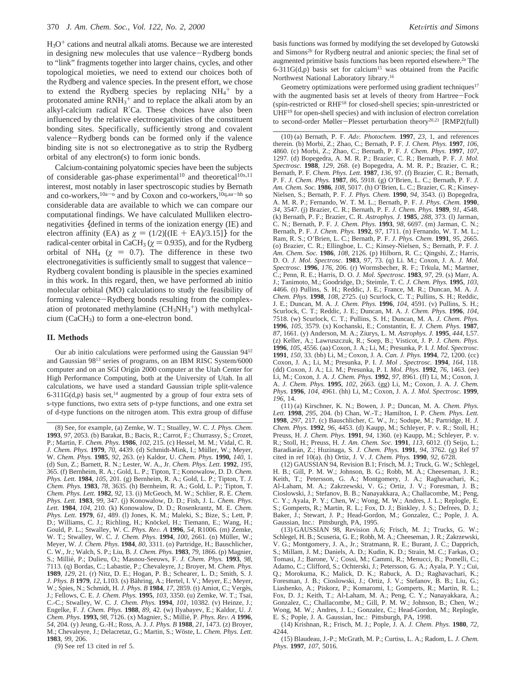$H<sub>3</sub>O<sup>+</sup>$  cations and neutral alkali atoms. Because we are interested in designing new molecules that use valence-Rydberg bonds to "link" fragments together into larger chains, cycles, and other topological moieties, we need to extend our choices both of the Rydberg and valence species. In the present effort, we chose to extend the Rydberg species by replacing  $NH_4^+$  by a protonated amine  $RNH_3^+$  and to replace the alkali atom by an alkyl-calcium radical R′Ca. These choices have also been influenced by the relative electronegativities of the constituent bonding sites. Specifically, sufficiently strong and covalent valence-Rydberg bonds can be formed only if the valence binding site is not so electronegative as to strip the Rydberg orbital of any electron(s) to form ionic bonds.

Calcium-containing polyatomic species have been the subjects of considerable gas-phase experimental<sup>10</sup> and theoretical<sup>10x,11</sup> interest, most notably in laser spectroscopic studies by Bernath and co-workers,<sup>10a-o</sup> and by Coxon and co-workers,<sup>10q,aa-hh</sup> so considerable data are available to which we can compare our computational findings. We have calculated Mulliken electronegativities {defined in terms of the ionization energy (IE) and electron affinity (EA) as  $\chi = (1/2)[(IE + EA)/3.15]$ } for the radical-center orbital in CaCH<sub>3</sub> ( $\chi$  = 0.935), and for the Rydberg orbital of NH<sub>4</sub> ( $\chi$  = 0.7). The difference in these two electronegativities is sufficiently small to suggest that valence-Rydberg covalent bonding is plausible in the species examined in this work. In this regard, then, we have performed ab initio molecular orbital (MO) calculations to study the feasibility of forming valence-Rydberg bonds resulting from the complexation of protonated methylamine  $(CH_3NH_3^+)$  with methylcalcium (CaCH3) to form a one-electron bond.

#### **II. Methods**

Our ab initio calculations were performed using the Gaussian 9412 and Gaussian 9813 series of programs, on an IBM RISC System/6000 computer and on an SGI Origin 2000 computer at the Utah Center for High Performance Computing, both at the University of Utah. In all calculations, we have used a standard Gaussian triple split-valence 6-311G(d,p) basis set,<sup>14</sup> augmented by a group of four extra sets of s-type functions, two extra sets of p-type functions, and one extra set of d-type functions on the nitrogen atom. This extra group of diffuse

(9) See ref 13 cited in ref 5.

basis functions was formed by modifying the set developed by Gutowski and Simons2b for Rydberg neutral and anionic species; the final set of augmented primitive basis functions has been reported elsewhere.<sup>2a</sup> The  $6-311G(d,p)$  basis set for calcium<sup>15</sup> was obtained from the Pacific Northwest National Laboratory library.16

Geometry optimizations were performed using gradient techniques<sup>17</sup> with the augmented basis set at levels of theory from Hartree-Fock (spin-restricted or RHF18 for closed-shell species; spin-unrestricted or UHF19 for open-shell species) and with inclusion of electron correlation to second-order Møller-Plesset perturbation theory<sup>20,21</sup> [RMP2(full)

(10) (a) Bernath, P. F. *Ad*V*. Photochem.* **<sup>1997</sup>**, *<sup>23</sup>*, 1, and references therein. (b) Morbi, Z.; Zhao, C.; Bernath, P. F. *J. Chem. Phys.* **1997**, *106*, 4860. (c) Morbi, Z.; Zhao, C.; Bernath, P. F. *J. Chem. Phys.* **1997**, *107,* 1297. (d) Bopegedra, A. M. R. P.; Brazier, C. R.; Bernath, P. F. *J. Mol. Spectrosc.* **1988**, *129*, 268. (e) Bopegedra, A. M. R. P.; Brazier, C. R.; Bernath, P. F. *Chem. Phys. Lett.* **1987**, *136*, 97. (f) Brazier, C. R.; Bernath, P. F. *J. Chem. Phys.* **1987**, *86*, 5918. (g) O'Brien, L. C.; Bernath, P. F. *J. Am. Chem. Soc.* **1986**, *108*, 5017. (h) O'Brien, L. C.; Brazier, C. R.; Kinsey-Nielsen, S.; Bernath, P. F. *J. Phys. Chem.* **1990**, *94*, 3543. (i) Bopegedra, A. M. R. P.; Fernando, W. T. M. L.; Bernath, P. F. *J. Phys. Chem.* **1990**, *34*, 3547. (j) Brazier, C. R.; Bernath, P. F. *J. Chem. Phys.* **1989**, *91*, 4548. (k) Bernath, P. F.; Brazier, C. R. *Astrophys. J.* **1985**, *288*, 373. (l) Jarman, C. N.; Bernath, P. F. *J. Chem. Phys.* **1993**, *98*, 6697. (m) Jarman, C. N.; Bernath, P. F. *J. Chem. Phys.* **1992**, *97*, 1711. (n) Fernando, W. T. M. L.; Ram, R. S.; O'Brien, L. C.; Bernath, P. F. *J. Phys. Chem.* **1991**, *95*, 2665. (o) Brazier, C. R.; Ellingboe, L. C.; Kinsey-Nielsen, S.; Bernath, P. F. *J. Am. Chem. Soc.* **1986**, *108*, 2126. (p) Hilborn, R. C.; Qingshi, Z.; Harris, D. O. *J. Mol. Spectrosc.* **1983**, *97*, 73. (q) Li. M.; Coxon, J. A. *J. Mol. Spectrosc.* **1996**, *176*, 206. (r) Wormsbecher, R. F.; Trkula, M.; Martner, C.; Penn, R. E.; Harris, D. O. *J. Mol. Spectrosc.* **1983**, *97*, 29. (s) Marr, A. J.; Tanimoto, M.; Goodridge, D.; Steimle, T. C. *J. Chem. Phys.* **1995**, *103*, 4466. (t) Pullins, S. H.; Reddic, J. E.; France, M. R.; Duncan, M. A. *J. Chem. Phys.* **1998**, *108*, 2725. (u) Scurlock, C. T.; Pullins, S. H.; Reddic, J. E.; Duncan, M. A. *J. Chem. Phys.* **1996**, *104*, 4591. (v) Pullins, S. H.; Scurlock, C. T.; Reddic, J. E.; Duncan, M. A. *J. Chem. Phys.* **1996**, *104*, 7518. (w) Scurlock, C. T.; Pullins, S. H.; Duncan, M. A. *J. Chem. Phys.* **1996**, *105*, 3579. (x) Kochanski, E.; Constantin, E. *J. Chem. Phys.* **1987**, *87*, 1661. (y) Anderson, M. A.; Ziurys, L. M. *Astrophys. J.* **1995**, *444*, L57. (z) Keller, A.; Lawruszczuk, R.; Soep, B.; Visticot, J. P. *J. Chem. Phys.* **1996**, *105*, 4556. (aa) Coxon, J. A.; Li, M.; Presunka, P. I. *J. Mol. Spectrosc.* **1991**, *150*, 33. (bb) Li, M.; Coxon, J. A. *Can. J. Phys.* **1994**, *72*, 1200. (cc) Coxon, J. A.; Li, M.; Presunka, P. I. *J. Mol . Spectrosc.* **1994**, *164*, 118. (dd) Coxon, J. A.; Li. M.; Presunka, P. I. *Mol. Phys.* **1992**, *76*, 1463. (ee) Li, M.; Coxon, J. A. *J. Chem. Phys.* **1992**, *97*, 8961. (ff) Li, M.; Coxon, J. A. *J. Chem. Phys.* **1995**, *102*, 2663. (gg) Li, M.; Coxon, J. A. *J. Chem. Phys.* **1996**, *104*, 4961. (hh) Li, M.; Coxon, J. A. *J. Mol. Spectrosc.* **1999**, *196*, 14.

(11) (a) Kirschner, K. N.; Bowen, J. P.; Duncan, M. A. *Chem. Phys. Lett.* **1998**, *295*, 204. (b) Chan, W.-T.; Hamilton, I. P. *Chem. Phys. Lett.* **1998**, *297*, 217. (c) Bauschlicher, C. W., Jr.; Sodupe, M.; Partridge, H. *J. Chem. Phys.* **1992**, *96*, 4453. (d) Kaupp, M.; Schleyer, P. v. R.; Stoll, H.; Preuss, H. *J. Chem. Phys.* **1991**, *94*, 1360. (e) Kaupp, M.; Schleyer, P. v. R.; Stoll, H.; Preuss, H. *J. Am. Chem. Soc.* **1991**, *113*, 6012. (f) Seijo, L.; Baradiara´n, Z.; Huzinaga, S. *J. Chem. Phys.* **1991**, *94*, 3762. (g) Ref 97 cited in ref 10(a). (h) Ortiz, J. V. *J. Chem. Phys.* **1990**, *92*, 6728.

(12) GAUSSIAN 94, Revision B.1; Frisch, M. J.; Truck, G. W.; Schlegel, H. B.; Gill, P. M. W.; Johnson, B. G.; Robb, M. A.; Cheeseman, J. R.; Keith, T.; Petersson, G. A.; Montgomery, J. A.; Raghavachari, K.; Al-Laham, M. A.; Zakrzewski, V. G.; Ortiz, J. V.; Foresman, J. B.; Cioslowski, J.; Stefanov, B. B.; Nanayakkara, A.; Challacombe, M.; Peng, C. Y.; Ayala, P. Y.; Chen, W.; Wong, M. W.; Andres, J. L.; Replogle, E. S.; Gomperts, R.; Martin, R. L.; Fox, D. J.; Binkley, J. S.; Defrees, D. J.; Baker, J.; Stewart, J. P.; Head-Gordon, M.; Gonzalez, C.; Pople, J. A. Gaussian, Inc.: Pittsburgh, PA, 1995.

(13) GAUSSIAN 98, Revision A.6; Frisch, M. J.; Trucks, G. W.; Schlegel, H. B.; Scuseria, G. E.; Robb, M. A.; Cheeseman, J. R.; Zakrzewski, V. G.; Montgomery, J. A., Jr.; Stratmann, R. E.; Burant, J. C.; Dapprich, S.; Millam, J. M.; Daniels, A. D.; Kudin, K. D.; Strain, M. C.; Farkas, O.; Tomasi, J.; Barone, V.; Cossi, M.; Cammi, R.; Menucci, B.; Pomelli, C.; Adamo, C.; Clifford, S.; Ochterski, J.; Petersson, G. A.; Ayala, P. Y.; Cui, Q.; Morokuma, K.; Malick, D. K.; Rabuck, A. D.; Raghavachari, K.; Foresman, J. B.; Cioslowski, J.; Ortiz, J. V.; Stefanov, B. B.; Liu, G.; Liashenko, A.; Piskorz, P.; Komaromi, I.; Gomperts, R.; Martin, R. L.; Fox, D. J.; Keith, T.; Al-Laham, M. A.; Peng, C. Y.; Nanayakkara, A.; Gonzalez, C.; Challacombe, M.; Gill, P. M. W.; Johnson, B.; Chen, W.; Wong, M. W.; Andres, J. L.; Gonzalez, C.; Head-Gordon, M.; Replogle, E. S.; Pople, J. A. Gaussian, Inc.: Pittsburgh, PA, 1998.

(14) Krishnan, R.; Frisch, M. J.; Pople, J. A. *J. Chem. Phys.* **1980**, *72*, 4244.

(15) Blaudeau, J.-P.; McGrath, M. P.; Curtiss, L. A.; Radom, L. *J. Chem. Phys.* **1997**, *107*, 5016.

<sup>(8)</sup> See, for example, (a) Zemke, W. T.; Stualley, W. C. *J. Phys. Chem.* **1993**, *97*, 2053. (b) Barakat, B.; Bacis, R.; Carrot, F.; Churrassy, S.; Crozet, P.; Martin, F. *Chem. Phys.* **1986**, *102*, 215. (c) Hessel, M. M.; Vidal, C. R. *J. Chem. Phys.* **1979**, *70*, 4439. (d) Schmidt-Mink, I.; Müller, W.; Meyer, W. *Chem. Phys.* **1985**, *92*, 263. (e) Kaldor, U. *Chem. Phys.* **1990***, 140*, 1. (d) Sun, Z.; Barnett, R. N.; Lester, W. A., Jr. *Chem. Phys. Lett.* **1992**, *195*, 365. (f) Bernheim, R. A.; Gold, L. P.; Tipton, T.; Konowalow, D. D. *Chem. Phys. Lett.* **1984**, *105*, 201. (g) Bernheim, R. A.; Gold, L. P.; Tipton, T. *J. Chem. Phys.* **1983**, *78*, 3635. (h) Bernheim, R. A.; Gold, L. P.; Tipton, T. *Chem. Phys. Lett.* **1982**, *92*, 13. (i) McGeoch, M. W.; Schlier, R. E. *Chem. Phys. Lett.* **1983**, *99*, 347. (j) Konowalow, D. D.; Fish, J. L. *Chem. Phys. Lett.* **1984**, *104*, 210. (k) Konowalow, D. D.; Rosenkrantz, M. E. *Chem. Phys. Lett.* **1979**, *61*, 489. (l) Jones, K. M.; Maleki, S.; Bize, S.; Lett, P. D.; Williams, C. J.; Richling, H.; Knöckel, H.; Tiemann, E.; Wang, H.; Gould, P. L.; Stwalley, W. C. *Phys. Re*V*. A* **<sup>1996</sup>**, *<sup>54</sup>*, R1006. (m) Zemke, W. T.; Stwalley, W. C. *J. Chem. Phys.* 1994, *100*, 2661. (n) Müller, W.; Meyer, W. *J. Chem. Phys.* **1984**, *80*, 3311. (o) Partridge, H.; Bauschlicher, C. W., Jr.; Walch, S. P.; Liu, B. *J. Chem. Phys.* **1983**, *79*, 1866. (p) Magnier, S.; Millie´, P.; Dulieu, O.; Masnou-Seeuws, F. *J. Chem. Phys.* **1993**, *98*, 7113. (q) Bordas, C.; Labastie, P.; Chevaleyre, J.; Broyer, M. *Chem. Phys.* **1989**, *129*, 21. (r) Nitz, D. E.; Hogan, P. B.; Schearer, L. D.; Smith, S. J. *J. Phys. B* 1979, *12*, L103. (s) Bähring, A.; Hertel, I. V.; Meyer, E.; Meyer, W.; Spies, N.; Schmidt, H. *J. Phys. B* 1984, 17, 2859. (t) Amiot, C.; Vergès, J.; Fellows, C. E. *J. Chem. Phys.* **1995**, *103*, 3350. (u) Zemke, W. T.; Tsai, C.-C.; Stwalley, W. C. *J. Chem. Phys.* **1994**, *101*, 10382. (v) Heinze, J.; Engelke, F. *J. Chem. Phys.* **1988**, *89*, 42. (w) Ilyabayev, E.; Kaldor, U. *J. Chem. Phys.* **1993,** *98,* 7126. (x) Magnier, S.; Millie´, P. *Phys. Re*V*. A* **<sup>1996</sup>**, *54*, 204. (y) Jeung, G.-H.; Ross, A. J. *J. Phys. B* **1988**, *21*, 1473. (z) Broyer, M.; Chevaleyre, J.; Delacretaz, G.; Martin, S.; Wöste, L. Chem. Phys. Lett. **1983**, *99*, 206.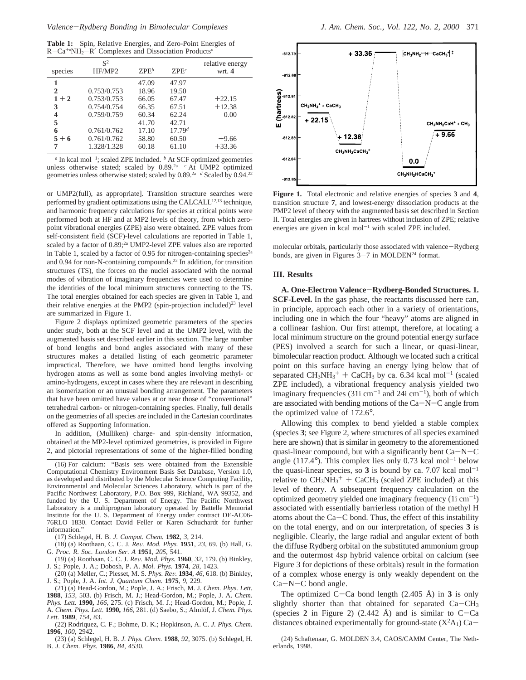**Table 1:** Spin, Relative Energies, and Zero-Point Energies of <sup>R</sup>-Ca+•NH2-R′ Complexes and Dissociation Products*<sup>a</sup>*

| species | $S^2$<br>HF/MP2 | $ZPE^b$ | ZPE <sup>c</sup> | relative energy<br>wrt. 4 |
|---------|-----------------|---------|------------------|---------------------------|
| 1       |                 | 47.09   | 47.97            |                           |
| 2       | 0.753/0.753     | 18.96   | 19.50            |                           |
| $1 + 2$ | 0.753/0.753     | 66.05   | 67.47            | $+22.15$                  |
| 3       | 0.754/0.754     | 66.35   | 67.51            | $+12.38$                  |
| 4       | 0.759/0.759     | 60.34   | 62.24            | 0.00                      |
| 5       |                 | 41.70   | 42.71            |                           |
| 6       | 0.761/0.762     | 17.10   | $17.79^{d}$      |                           |
| $5+6$   | 0.761/0.762     | 58.80   | 60.50            | $+9.66$                   |
|         | 1.328/1.328     | 60.18   | 61.10            | $+33.36$                  |

*<sup>a</sup>* In kcal mol-<sup>1</sup> ; scaled ZPE included. *<sup>b</sup>* At SCF optimized geometries unless otherwise stated; scaled by 0.89.<sup>2a</sup> <sup>c</sup> At UMP2 optimized geometries unless otherwise stated; scaled by 0.89.<sup>2a</sup> d Scaled by 0.94.<sup>22</sup>

or UMP2(full), as appropriate]. Transition structure searches were performed by gradient optimizations using the CALCALL<sup>12,13</sup> technique, and harmonic frequency calculations for species at critical points were performed both at HF and at MP2 levels of theory, from which zeropoint vibrational energies (ZPE) also were obtained. ZPE values from self-consistent field (SCF)-level calculations are reported in Table 1, scaled by a factor of 0.89;<sup>2a</sup> UMP2-level ZPE values also are reported in Table 1, scaled by a factor of 0.95 for nitrogen-containing species<sup>2a</sup> and 0.94 for non-N-containing compounds.<sup>22</sup> In addition, for transition structures (TS), the forces on the nuclei associated with the normal modes of vibration of imaginary frequencies were used to determine the identities of the local minimum structures connecting to the TS. The total energies obtained for each species are given in Table 1, and their relative energies at the PMP2 (spin-projection included)<sup>23</sup> level are summarized in Figure 1.

Figure 2 displays optimized geometric parameters of the species under study, both at the SCF level and at the UMP2 level, with the augmented basis set described earlier in this section. The large number of bond lengths and bond angles associated with many of these structures makes a detailed listing of each geometric parameter impractical. Therefore, we have omitted bond lengths involving hydrogen atoms as well as some bond angles involving methyl- or amino-hydrogens, except in cases where they are relevant in describing an isomerization or an unusual bonding arrangement. The parameters that have been omitted have values at or near those of "conventional" tetrahedral carbon- or nitrogen-containing species. Finally, full details on the geometries of all species are included in the Cartesian coordinates offered as Supporting Information.

In addition, (Mulliken) charge- and spin-density information, obtained at the MP2-level optimized geometries, is provided in Figure 2, and pictorial representations of some of the higher-filled bonding

(17) Schlegel, H. B. *J. Comput. Chem.* **1982**, *3*, 214.

(18) (a) Roothaan, C. C. J. *Re*V*. Mod. Phys.* **<sup>1951</sup>**, *<sup>23</sup>*, 69. (b) Hall, G. G. *Proc. R. Soc. London Ser. A* **1951**, *205*, 541.

(19) (a) Roothaan, C. C. J. *Re*V*. Mod. Phys.* **<sup>1960</sup>**, *<sup>32</sup>*, 179. (b) Binkley, J. S.; Pople, J. A.; Dobosh, P. A. *Mol. Phys.* **1974**, *28*, 1423.

(20) (a) Møller, C.; Plesset, M. S. *Phys. Re*V*.* **<sup>1934</sup>**, *<sup>46</sup>*, 618. (b) Binkley, J. S.; Pople, J. A. *Int. J. Quantum Chem.* **1975**, *9*, 229.

(21) (a) Head-Gordon, M.; Pople, J. A.; Frisch, M. J. *Chem. Phys. Lett.* **1988**, *153*, 503. (b) Frisch, M. J.; Head-Gordon, M.; Pople, J. A. *Chem. Phys. Lett.* **1990,** *166*, 275. (c) Frisch, M. J.; Head-Gordon, M.; Pople, J. A. *Chem. Phys. Lett.* **1990,** *166*, 281. (d) Saebo, S.; Almlöf, J. *Chem. Phys. Lett.* **1989**, *154*, 83.

(22) Rodriquez, C. F.; Bohme, D. K.; Hopkinson, A. C. *J. Phys. Chem.* **1996**, *100*, 2942.

(23) (a) Schlegel, H. B. *J. Phys. Chem.* **1988**, *92*, 3075. (b) Schlegel, H. B. *J. Chem. Phys.* **1986**, *84*, 4530.



**Figure 1.** Total electronic and relative energies of species **3** and **4**, transition structure **7**, and lowest-energy dissociation products at the PMP2 level of theory with the augmented basis set described in Section II. Total energies are given in hartrees without inclusion of ZPE; relative energies are given in kcal mol<sup> $-1$ </sup> with scaled ZPE included.

molecular orbitals, particularly those associated with valence-Rydberg bonds, are given in Figures  $3-7$  in MOLDEN<sup>24</sup> format.

## **III. Results**

**A. One-Electron Valence**-**Rydberg-Bonded Structures. 1. SCF-Level.** In the gas phase, the reactants discussed here can, in principle, approach each other in a variety of orientations, including one in which the four "heavy" atoms are aligned in a collinear fashion. Our first attempt, therefore, at locating a local minimum structure on the ground potential energy surface (PES) involved a search for such a linear, or quasi-linear, bimolecular reaction product. Although we located such a critical point on this surface having an energy lying below that of separated  $CH_3NH_3^+ + CaCH_3$  by ca. 6.34 kcal mol<sup>-1</sup> (scaled<br>ZPE included), a vibrational frequency analysis vielded two ZPE included), a vibrational frequency analysis yielded two imaginary frequencies (31i cm<sup>-1</sup> and 24i cm<sup>-1</sup>), both of which are associated with bending motions of the  $Ca-N-C$  angle from the optimized value of 172.6°.

Allowing this complex to bend yielded a stable complex (species **3**; see Figure 2, where structures of all species examined here are shown) that is similar in geometry to the aforementioned quasi-linear compound, but with a significantly bent Ca-N-<sup>C</sup> angle (117.4°). This complex lies only 0.73 kcal mol<sup>-1</sup> below the quasi-linear species, so  $3$  is bound by ca. 7.07 kcal mol<sup>-1</sup> relative to  $CH_3NH_3^+ + CaCH_3$  (scaled ZPE included) at this level of theory. A subsequent frequency calculation on the level of theory. A subsequent frequency calculation on the optimized geometry yielded one imaginary frequency  $(1i \text{ cm}^{-1})$ associated with essentially barrierless rotation of the methyl H atoms about the  $Ca-C$  bond. Thus, the effect of this instability on the total energy, and on our interpretation, of species **3** is negligible. Clearly, the large radial and angular extent of both the diffuse Rydberg orbital on the substituted ammonium group and the outermost 4sp hybrid valence orbital on calcium (see Figure 3 for depictions of these orbitals) result in the formation of a complex whose energy is only weakly dependent on the Ca-N-C bond angle.

The optimized  $C-Ca$  bond length  $(2.405 \text{ Å})$  in **3** is only slightly shorter than that obtained for separated Ca-CH<sub>3</sub> (species 2 in Figure 2)  $(2.442 \text{ Å})$  and is similar to  $C-Ca$ distances obtained experimentally for ground-state  $(X^2A_1)$  Ca

<sup>(16)</sup> For calcium: "Basis sets were obtained from the Extensible Computational Chemistry Environment Basis Set Database, Version 1.0, as developed and distributed by the Molecular Science Computing Facility, Environmental and Molecular Sciences Laboratory, which is part of the Pacific Northwest Laboratory, P.O. Box 999, Richland, WA 99352, and funded by the U. S. Department of Energy. The Pacific Northwest Laboratory is a multiprogram laboratory operated by Battelle Memorial Institute for the U. S. Department of Energy under contract DE-AC06- 76RLO 1830. Contact David Feller or Karen Schuchardt for further information."

<sup>(24)</sup> Schaftenaar, G. MOLDEN 3.4, CAOS/CAMM Center, The Netherlands, 1998.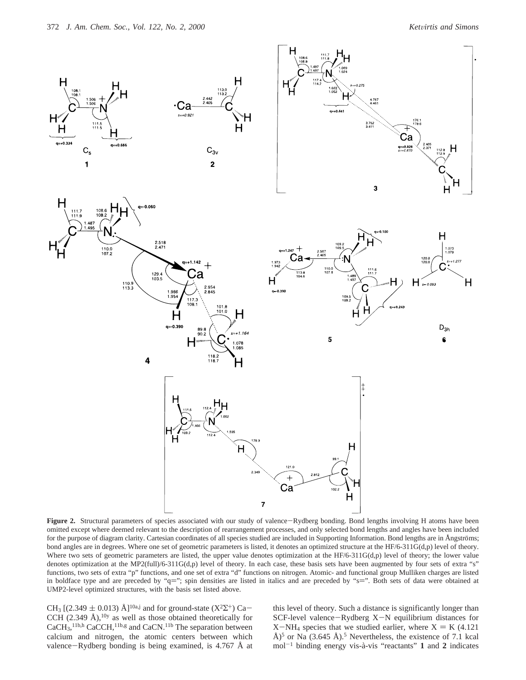

Figure 2. Structural parameters of species associated with our study of valence-Rydberg bonding. Bond lengths involving H atoms have been omitted except where deemed relevant to the description of rearrangement processes, and only selected bond lengths and angles have been included for the purpose of diagram clarity. Cartesian coordinates of all species studied are included in Supporting Information. Bond lengths are in Ångströms; bond angles are in degrees. Where one set of geometric parameters is listed, it denotes an optimized structure at the HF/6-311G(d,p) level of theory. Where two sets of geometric parameters are listed, the upper value denotes optimization at the  $HF/6-311G(d,p)$  level of theory; the lower value denotes optimization at the MP2(full)/6-311G(d,p) level of theory. In each case, these basis sets have been augmented by four sets of extra "s" functions, two sets of extra "p" functions, and one set of extra "d" functions on nitrogen. Atomic- and functional group Mulliken charges are listed in boldface type and are preceded by "q="; spin densities are listed in italics and are preceded by "s=". Both sets of data were obtained at UMP2-level optimized structures, with the basis set listed above.

CH<sub>3</sub> [(2.349  $\pm$  0.013) Å]<sup>10a,j</sup> and for ground-state (X<sup>2</sup>Σ<sup>+</sup>) Ca-CCH (2.349 Å),<sup>10y</sup> as well as those obtained theoretically for CaCH<sub>3</sub>,<sup>11b,h</sup> CaCCH,<sup>11b,g</sup> and CaCN.<sup>11b</sup> The separation between calcium and nitrogen, the atomic centers between which valence-Rydberg bonding is being examined, is 4.767 Å at

this level of theory. Such a distance is significantly longer than SCF-level valence-Rydberg X-N equilibrium distances for  $X-NH_4$  species that we studied earlier, where  $X = K (4.121)$ Å)<sup>5</sup> or Na (3.645 Å).<sup>5</sup> Nevertheless, the existence of 7.1 kcal  $mol^{-1}$  binding energy vis-à-vis "reactants" 1 and 2 indicates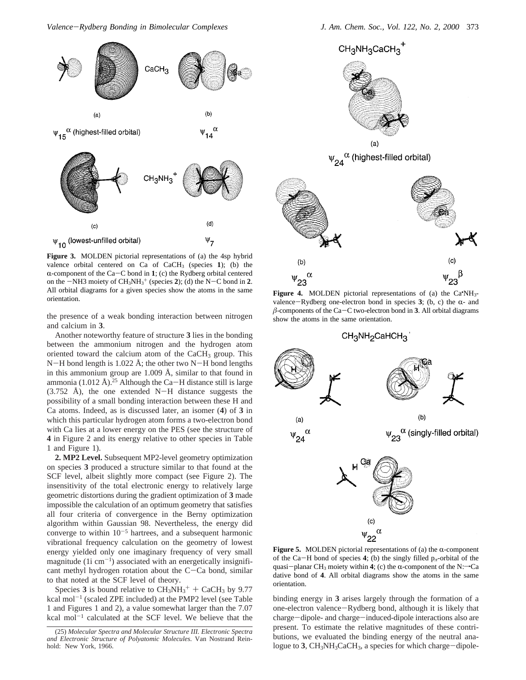

**Figure 3.** MOLDEN pictorial representations of (a) the 4sp hybrid valence orbital centered on Ca of CaCH3 (species **1**); (b) the  $\alpha$ -component of the Ca–C bond in 1; (c) the Rydberg orbital centered on the  $-NH3$  moiety of  $CH_3NH_3^+$  (species 2); (d) the N-C bond in 2.<br>All orbital diagrams for a given species show the atoms in the same All orbital diagrams for a given species show the atoms in the same **Figure 4.** MOLDEN pictorial representations of (a) the Ca<sup>•</sup>NH<sub>3</sub>-<br>orientation. We say and the case of the Ca<sup>•NH</sup>3-<br>National representations of the Ca<sup>•NH</sup>3-

the presence of a weak bonding interaction between nitrogen and calcium in **3**.

Another noteworthy feature of structure **3** lies in the bonding between the ammonium nitrogen and the hydrogen atom oriented toward the calcium atom of the  $CaCH<sub>3</sub>$  group. This N-H bond length is 1.022 Å; the other two N-H bond lengths in this ammonium group are 1.009 Å, similar to that found in ammonia (1.012 Å).<sup>25</sup> Although the Ca-H distance still is large  $(3.752 \text{ Å})$ , the one extended N-H distance suggests the possibility of a small bonding interaction between these H and Ca atoms. Indeed, as is discussed later, an isomer (**4**) of **3** in which this particular hydrogen atom forms a two-electron bond with Ca lies at a lower energy on the PES (see the structure of **4** in Figure 2 and its energy relative to other species in Table 1 and Figure 1).

**2. MP2 Level.** Subsequent MP2-level geometry optimization on species **3** produced a structure similar to that found at the SCF level, albeit slightly more compact (see Figure 2). The insensitivity of the total electronic energy to relatively large geometric distortions during the gradient optimization of **3** made impossible the calculation of an optimum geometry that satisfies all four criteria of convergence in the Berny optimization algorithm within Gaussian 98. Nevertheless, the energy did converge to within  $10^{-5}$  hartrees, and a subsequent harmonic vibrational frequency calculation on the geometry of lowest energy yielded only one imaginary frequency of very small magnitude  $(1i \text{ cm}^{-1})$  associated with an energetically insignificant methyl hydrogen rotation about the  $C-Ca$  bond, similar to that noted at the SCF level of theory.

Species **3** is bound relative to  $CH_3NH_3^+$  +  $CaCH_3$  by 9.77<br>al mol<sup>-1</sup> (scaled ZPE included) at the PMP2 level (see Table kcal mol<sup>-1</sup> (scaled ZPE included) at the PMP2 level (see Table 1 and Figures 1 and 2), a value somewhat larger than the 7.07 kcal mol<sup> $-1$ </sup> calculated at the SCF level. We believe that the



valence-Rydberg one-electron bond in species 3; (b, c) the  $\alpha$ - and  $\beta$ -components of the Ca–C two-electron bond in **3**. All orbital diagrams show the atoms in the same orientation.



**Figure 5.** MOLDEN pictorial representations of (a) the  $\alpha$ -component of the Ca-H bond of species 4; (b) the singly filled  $p_{\pi}$ -orbital of the quasi-planar CH<sub>3</sub> moiety within 4; (c) the  $\alpha$ -component of the N: $\rightarrow$ Ca dative bond of **4**. All orbital diagrams show the atoms in the same orientation.

binding energy in **3** arises largely through the formation of a one-electron valence-Rydberg bond, although it is likely that charge-dipole- and charge-induced-dipole interactions also are present. To estimate the relative magnitudes of these contributions, we evaluated the binding energy of the neutral analogue to **3**, CH<sub>3</sub>NH<sub>3</sub>CaCH<sub>3</sub>, a species for which charge-dipole-

<sup>(25)</sup> *Molecular Spectra and Molecular Structure III. Electronic Spectra and Electronic Structure of Polyatomic Molecules.* Van Nostrand Reinhold: New York, 1966.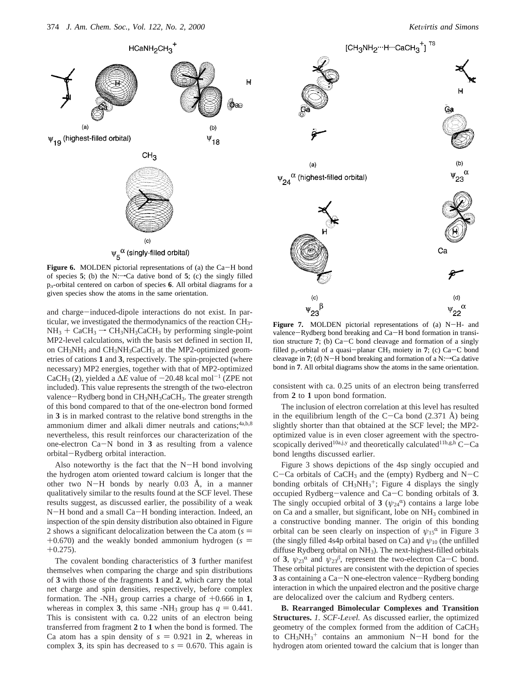

**Figure 6.** MOLDEN pictorial representations of (a) the Ca-H bond of species 5; (b) the N: $\rightarrow$ Ca dative bond of 5; (c) the singly filled p*π*-orbital centered on carbon of species **6**. All orbital diagrams for a given species show the atoms in the same orientation.

and charge-induced-dipole interactions do not exist. In particular, we investigated the thermodynamics of the reaction CH3-  $NH<sub>3</sub> + CaCH<sub>3</sub> \rightarrow CH<sub>3</sub>NH<sub>3</sub>CaCH<sub>3</sub>$  by performing single-point MP2-level calculations, with the basis set defined in section II, on CH3NH3 and CH3NH3CaCH3 at the MP2-optimized geometries of cations **1** and **3**, respectively. The spin-projected (where necessary) MP2 energies, together with that of MP2-optimized CaCH<sub>3</sub> (2), yielded a  $\Delta E$  value of  $-20.48$  kcal mol<sup>-1</sup> (ZPE not included). This value represents the strength of the two-electron valence-Rydberg bond in CH<sub>3</sub>NH<sub>3</sub>CaCH<sub>3</sub>. The greater strength of this bond compared to that of the one-electron bond formed in **3** is in marked contrast to the relative bond strengths in the ammonium dimer and alkali dimer neutrals and cations; 4a,b,8 nevertheless, this result reinforces our characterization of the one-electron Ca-N bond in **<sup>3</sup>** as resulting from a valence orbital-Rydberg orbital interaction.

Also noteworthy is the fact that the  $N-H$  bond involving the hydrogen atom oriented toward calcium is longer that the other two  $N-H$  bonds by nearly 0.03 Å, in a manner qualitatively similar to the results found at the SCF level. These results suggest, as discussed earlier, the possibility of a weak N-H bond and a small Ca-H bonding interaction. Indeed, an inspection of the spin density distribution also obtained in Figure 2 shows a significant delocalization between the Ca atom  $(s =$  $+0.670$ ) and the weakly bonded ammonium hydrogen ( $s =$  $+0.275$ ).

The covalent bonding characteristics of **3** further manifest themselves when comparing the charge and spin distributions of **3** with those of the fragments **1** and **2**, which carry the total net charge and spin densities, respectively, before complex formation. The -NH<sub>3</sub> group carries a charge of  $+0.666$  in **1**, whereas in complex 3, this same -NH<sub>3</sub> group has  $q = 0.441$ . This is consistent with ca. 0.22 units of an electron being transferred from fragment **2** to **1** when the bond is formed. The Ca atom has a spin density of  $s = 0.921$  in **2**, whereas in complex **3**, its spin has decreased to  $s = 0.670$ . This again is



Figure 7. MOLDEN pictorial representations of (a) N-H- and valence-Rydberg bond breaking and Ca-H bond formation in transition structure **<sup>7</sup>**; (b) Ca-C bond cleavage and formation of a singly filled  $p_{\pi}$ -orbital of a quasi-planar CH<sub>3</sub> moiety in 7; (c) Ca-C bond cleavage in **7**; (d) N-H bond breaking and formation of a N: $\rightarrow$ Ca dative bond in **7**. All orbital diagrams show the atoms in the same orientation.

consistent with ca. 0.25 units of an electron being transferred from **2** to **1** upon bond formation.

The inclusion of electron correlation at this level has resulted in the equilibrium length of the C-Ca bond  $(2.371 \text{ Å})$  being slightly shorter than that obtained at the SCF level; the MP2 optimized value is in even closer agreement with the spectroscopically derived<sup>10a,j,y</sup> and theoretically calculated<sup>11b,g,h</sup> C-Ca bond lengths discussed earlier.

Figure 3 shows depictions of the 4sp singly occupied and  $C-Ca$  orbitals of CaCH<sub>3</sub> and the (empty) Rydberg and N-C bonding orbitals of  $CH_3NH_3^+$ ; Figure 4 displays the singly occupied Rydberg-valence and Ca-C bonding orbitals of **<sup>3</sup>**. The singly occupied orbital of **3** ( $\psi_{24}^{\alpha}$ ) contains a large lobe on Ca and a smaller, but significant, lobe on NH<sub>3</sub> combined in a constructive bonding manner. The origin of this bonding orbital can be seen clearly on inspection of  $\psi_{15}$ <sup> $\alpha$ </sup> in Figure 3 (the singly filled 4s4p orbital based on Ca) and  $\psi_{10}$  (the unfilled diffuse Rydberg orbital on NH<sub>3</sub>). The next-highest-filled orbitals of **3**,  $\psi_{23}^{\alpha}$  and  $\psi_{23}^{\beta}$ , represent the two-electron Ca–C bond. These orbital pictures are consistent with the depiction of species **<sup>3</sup>** as containing a Ca-N one-electron valence-Rydberg bonding interaction in which the unpaired electron and the positive charge are delocalized over the calcium and Rydberg centers.

**B. Rearranged Bimolecular Complexes and Transition Structures.** *1. SCF-Le*V*el.* As discussed earlier, the optimized geometry of the complex formed from the addition of CaCH3 to  $CH_3NH_3^+$  contains an ammonium N-H bond for the<br>hydrogen atom oriented toward the calcium that is longer than hydrogen atom oriented toward the calcium that is longer than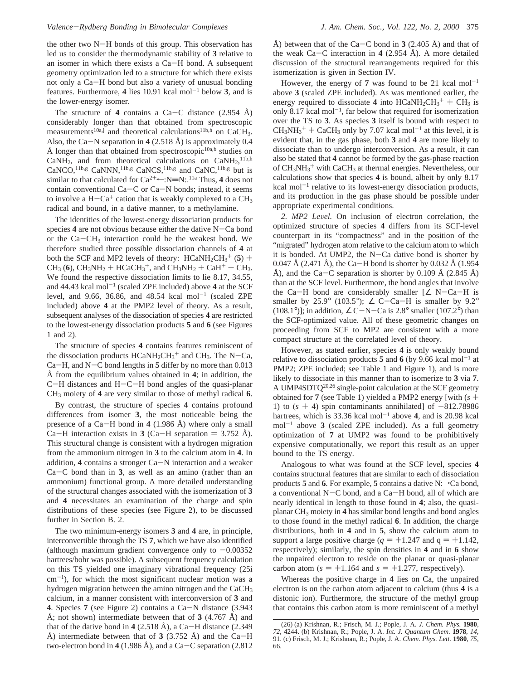the other two N-H bonds of this group. This observation has led us to consider the thermodynamic stability of **3** relative to an isomer in which there exists a  $Ca-H$  bond. A subsequent geometry optimization led to a structure for which there exists not only a Ca-H bond but also a variety of unusual bonding features. Furthermore, 4 lies  $10.91$  kcal mol<sup>-1</sup> below 3, and is the lower-energy isomer.

The structure of 4 contains a Ca–C distance  $(2.954 \text{ Å})$ considerably longer than that obtained from spectroscopic measurements<sup>10a,j</sup> and theoretical calculations<sup>11b,h</sup> on CaCH<sub>3</sub>. Also, the Ca-N separation in  $4(2.518 \text{ Å})$  is approximately 0.4 Å longer than that obtained from spectroscopic<sup>10a,b</sup> studies on CaNH<sub>2</sub>, and from theoretical calculations on  $CaNH_2$ ,  $11b$ , h CaNCO,<sup>11b,g</sup> CaNNN,<sup>11b,g</sup> CaNCS,<sup>11b,g</sup> and CaNC,<sup>11b,g</sup> but is similar to that calculated for  $Ca^{2+}$ : $N=N$ :.<sup>11a</sup> Thus, 4 does not contain conventional Ca-C or Ca-N bonds; instead, it seems to involve a  $H-Ca<sup>+</sup>$  cation that is weakly complexed to a  $CH<sub>3</sub>$ radical and bound, in a dative manner, to a methylamine.

The identities of the lowest-energy dissociation products for species  $4$  are not obvious because either the dative  $N-Ca$  bond or the  $Ca-CH<sub>3</sub>$  interaction could be the weakest bond. We therefore studied three possible dissociation channels of **4** at both the SCF and MP2 levels of theory:  $HCANH_2CH_3^+(5) + CH_3(6)$  CH<sub>2</sub>NH<sub>2</sub> +  $HCaCH_3^+$  and CH<sub>2</sub>NH<sub>2</sub> +  $C_3H^+ + CH_3$  $CH_3$  (6),  $CH_3NH_2 + HCaCH_3^+$ , and  $CH_3NH_2 + CaH^+ + CH_3$ .<br>We found the respective dissociation limits to lie 8.17, 34.55 We found the respective dissociation limits to lie 8.17, 34.55, and  $44.43$  kcal mol<sup>-1</sup> (scaled ZPE included) above 4 at the SCF level, and 9.66, 36.86, and 48.54 kcal mol<sup>-1</sup> (scaled ZPE included) above **4** at the PMP2 level of theory. As a result, subsequent analyses of the dissociation of species **4** are restricted to the lowest-energy dissociation products **5** and **6** (see Figures 1 and 2).

The structure of species **4** contains features reminiscent of the dissociation products  $\text{HCaNH}_2\text{CH}_3^+$  and  $\text{CH}_3$ . The N-Ca,<br>Ca-H and N-C bond lengths in 5 differ by no more than 0.013 Ca-H, and N-C bond lengths in **<sup>5</sup>** differ by no more than 0.013 Å from the equilibrium values obtained in **4**; in addition, the <sup>C</sup>-H distances and H-C-H bond angles of the quasi-planar CH3 moiety of **4** are very similar to those of methyl radical **6**.

By contrast, the structure of species **4** contains profound differences from isomer **3**, the most noticeable being the presence of a Ca-H bond in **<sup>4</sup>** (1.986 Å) where only a small Ca-H interaction exists in **3** (Ca-H separation  $= 3.752$  Å). This structural change is consistent with a hydrogen migration from the ammonium nitrogen in **3** to the calcium atom in **4**. In addition, **<sup>4</sup>** contains a stronger Ca-N interaction and a weaker Ca-C bond than in **<sup>3</sup>**, as well as an amino (rather than an ammonium) functional group. A more detailed understanding of the structural changes associated with the isomerization of **3** and **4** necessitates an examination of the charge and spin distributions of these species (see Figure 2), to be discussed further in Section B. 2.

The two minimum-energy isomers **3** and **4** are, in principle, interconvertible through the TS **7**, which we have also identified (although maximum gradient convergence only to  $-0.00352$ ) hartrees/bohr was possible). A subsequent frequency calculation on this TS yielded one imaginary vibrational frequency (25i  $cm^{-1}$ ), for which the most significant nuclear motion was a hydrogen migration between the amino nitrogen and the CaCH<sub>3</sub> calcium, in a manner consistent with interconversion of **3** and **<sup>4</sup>**. Species **<sup>7</sup>** (see Figure 2) contains a Ca-N distance (3.943 Å; not shown) intermediate between that of **3** (4.767 Å) and that of the dative bond in  $4$  (2.518 Å), a Ca–H distance (2.349) Å) intermediate between that of **3** (3.752 Å) and the Ca-H two-electron bond in  $4(1.986 \text{ Å})$ , and a Ca-C separation  $(2.812)$ 

Å) between that of the Ca–C bond in  $3$  (2.405 Å) and that of the weak Ca-C interaction in **<sup>4</sup>** (2.954 Å). A more detailed discussion of the structural rearrangements required for this isomerization is given in Section IV.

However, the energy of  $7$  was found to be 21 kcal mol<sup>-1</sup> above **3** (scaled ZPE included). As was mentioned earlier, the energy required to dissociate **4** into  $HCANH<sub>2</sub>CH<sub>3</sub><sup>+</sup> + CH<sub>3</sub>$  is<br>only 8.17 kcal mol<sup>-1</sup> far below that required for isomerization only 8.17 kcal mol<sup>-1</sup>, far below that required for isomerization over the TS to **3**. As species **3** itself is bound with respect to  $CH_3NH_3^+$  + CaCH<sub>3</sub> only by 7.07 kcal mol<sup>-1</sup> at this level, it is<br>evident that in the gas phase, both 3 and 4 are more likely to evident that, in the gas phase, both **3** and **4** are more likely to dissociate than to undergo interconversion. As a result, it can also be stated that **4** cannot be formed by the gas-phase reaction of  $CH_3NH_3^+$  with CaCH<sub>3</sub> at thermal energies. Nevertheless, our calculations show that species **4** is bound, albeit by only 8.17 kcal mol<sup> $-1$ </sup> relative to its lowest-energy dissociation products, and its production in the gas phase should be possible under appropriate experimental conditions.

*2. MP2 Le*V*el.* On inclusion of electron correlation, the optimized structure of species **4** differs from its SCF-level counterpart in its "compactness" and in the position of the "migrated" hydrogen atom relative to the calcium atom to which it is bonded. At UMP2, the N-Ca dative bond is shorter by 0.047 Å (2.471 Å), the Ca–H bond is shorter by 0.032 Å (1.954) Å), and the Ca–C separation is shorter by 0.109 Å  $(2.845 \text{ Å})$ than at the SCF level. Furthermore, the bond angles that involve the Ca-H bond are considerably smaller  $[\angle N-Ca-H]$  is smaller by 25.9° (103.5°);  $\angle$  C-Ca-H is smaller by 9.2° (108.1°)]; in addition,  $\angle C-N-Ca$  is 2.8° smaller (107.2°) than the SCF-optimized value. All of these geometric changes on proceeding from SCF to MP2 are consistent with a more compact structure at the correlated level of theory.

However, as stated earlier, species **4** is only weakly bound relative to dissociation products  $\bf{5}$  and  $\bf{6}$  (by 9.66 kcal mol<sup>-1</sup> at PMP2; ZPE included; see Table 1 and Figure 1), and is more likely to dissociate in this manner than to isomerize to **3** via **7**. A UMP4SDTQ<sup>20,26</sup> single-point calculation at the SCF geometry obtained for **<sup>7</sup>** (see Table 1) yielded a PMP2 energy [with (*<sup>s</sup>* + 1) to  $(s + 4)$  spin contaminants annihilated] of  $-812.78986$ hartrees, which is  $33.36$  kcal mol<sup>-1</sup> above 4, and is  $20.98$  kcal  $mol^{-1}$  above 3 (scaled ZPE included). As a full geometry optimization of **7** at UMP2 was found to be prohibitively expensive computationally, we report this result as an upper bound to the TS energy.

Analogous to what was found at the SCF level, species **4** contains structural features that are similar to each of dissociation products **5** and 6. For example, **5** contains a dative  $N:$   $\rightarrow$  Ca bond, a conventional  $N-C$  bond, and a  $Ca-H$  bond, all of which are nearly identical in length to those found in **4**; also, the quasiplanar CH3 moiety in **4** has similar bond lengths and bond angles to those found in the methyl radical **6**. In addition, the charge distributions, both in **4** and in **5**, show the calcium atom to support a large positive charge ( $q = +1.247$  and  $q = +1.142$ , respectively); similarly, the spin densities in **4** and in **6** show the unpaired electron to reside on the planar or quasi-planar carbon atom ( $s = +1.164$  and  $s = +1.277$ , respectively).

Whereas the positive charge in **4** lies on Ca, the unpaired electron is on the carbon atom adjacent to calcium (thus **4** is a distonic ion). Furthermore, the structure of the methyl group that contains this carbon atom is more reminiscent of a methyl

<sup>(26) (</sup>a) Krishnan, R.; Frisch, M. J.; Pople, J. A. *J. Chem. Phys.* **1980**, *72*, 4244. (b) Krishnan, R.; Pople, J. A. *Int. J. Quantum Chem.* **1978**, *14*, 91. (c) Frisch, M. J.; Krishnan, R.; Pople, J. A. *Chem. Phys. Lett.* **1980**, *75*, 66.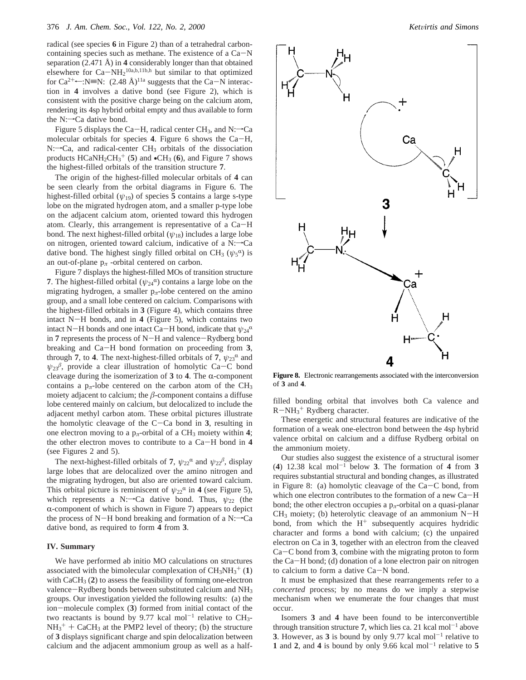radical (see species **6** in Figure 2) than of a tetrahedral carboncontaining species such as methane. The existence of a  $Ca-N$ separation (2.471 Å) in **4** considerably longer than that obtained elsewhere for  $Ca-NH_2^{10a,b,11b,h}$  but similar to that optimized<br>for  $Ca^{2+} \leftarrow N \equiv N$ : (2.48 Å)<sup>11a</sup> suggests that the  $Ca-N$  interacfor Ca<sup>2+</sup>  $\leftarrow$ :N=N: (2.48 Å)<sup>11a</sup> suggests that the Ca-N interaction in **4** involves a dative bond (see Figure 2), which is consistent with the positive charge being on the calcium atom, rendering its 4sp hybrid orbital empty and thus available to form the N: $\rightarrow$ Ca dative bond.

Figure 5 displays the Ca-H, radical center CH<sub>3</sub>, and N: $\rightarrow$ Ca molecular orbitals for species **<sup>4</sup>**. Figure 6 shows the Ca-H,  $N:\rightarrow Ca$ , and radical-center CH<sub>3</sub> orbitals of the dissociation products  $HCaNH<sub>2</sub>CH<sub>3</sub><sup>+</sup> (5)$  and  $\bullet CH<sub>3</sub> (6)$ , and Figure 7 shows the highest-filled orbitals of the transition structure 7 the highest-filled orbitals of the transition structure **7**.

The origin of the highest-filled molecular orbitals of **4** can be seen clearly from the orbital diagrams in Figure 6. The highest-filled orbital  $(\psi_{19})$  of species **5** contains a large s-type lobe on the migrated hydrogen atom, and a smaller p-type lobe on the adjacent calcium atom, oriented toward this hydrogen atom. Clearly, this arrangement is representative of a Ca-<sup>H</sup> bond. The next highest-filled orbital  $(\psi_{18})$  includes a large lobe on nitrogen, oriented toward calcium, indicative of a  $N:\rightarrow C$ a dative bond. The highest singly filled orbital on  $CH_3$  ( $\psi_5^{\alpha}$ ) is an out-of-plane  $p_{\pi}$  -orbital centered on carbon.

Figure 7 displays the highest-filled MOs of transition structure **7**. The highest-filled orbital ( $\psi_{24}^{\alpha}$ ) contains a large lobe on the migrating hydrogen, a smaller  $p_{\pi}$ -lobe centered on the amino group, and a small lobe centered on calcium. Comparisons with the highest-filled orbitals in **3** (Figure 4), which contains three intact N-H bonds, and in **<sup>4</sup>** (Figure 5), which contains two intact N-H bonds and one intact Ca-H bond, indicate that  $\psi_{24}^{\alpha}$ in **<sup>7</sup>** represents the process of N-H and valence-Rydberg bond breaking and Ca-H bond formation on proceeding from **<sup>3</sup>**, through **7**, to **4**. The next-highest-filled orbitals of **7**,  $\psi_{23}$ <sup> $\alpha$ </sup> and  $\psi_{23}$ <sup>β</sup>, provide a clear illustration of homolytic Ca-C bond cleavage during the isomerization of  $3$  to  $4$ . The  $\alpha$ -component contains a  $p_{\pi}$ -lobe centered on the carbon atom of the CH<sub>3</sub> moiety adjacent to calcium; the  $\beta$ -component contains a diffuse lobe centered mainly on calcium, but delocalized to include the adjacent methyl carbon atom. These orbital pictures illustrate the homolytic cleavage of the C-Ca bond in **<sup>3</sup>**, resulting in one electron moving to a  $p_{\pi}$ -orbital of a CH<sub>3</sub> moiety within 4; the other electron moves to contribute to a Ca-H bond in **<sup>4</sup>** (see Figures 2 and 5).

The next-highest-filled orbitals of **7**,  $\psi_{22}^{\alpha}$  and  $\psi_{22}^{\beta}$ , display large lobes that are delocalized over the amino nitrogen and the migrating hydrogen, but also are oriented toward calcium. This orbital picture is reminiscent of  $\psi_{22}^{\alpha}$  in **4** (see Figure 5), which represents a N: $\rightarrow$ Ca dative bond. Thus,  $\psi_{22}$  (the  $\alpha$ -component of which is shown in Figure 7) appears to depict the process of N-H bond breaking and formation of a N: $\rightarrow$ Ca dative bond, as required to form **4** from **3**.

# **IV. Summary**

We have performed ab initio MO calculations on structures associated with the bimolecular complexation of  $CH<sub>3</sub>NH<sub>3</sub><sup>+</sup> (1)$ with  $CaCH<sub>3</sub>(2)$  to assess the feasibility of forming one-electron valence-Rydberg bonds between substituted calcium and NH3 groups. Our investigation yielded the following results: (a) the ion-molecule complex (**3**) formed from initial contact of the two reactants is bound by 9.77 kcal mol<sup>-1</sup> relative to  $CH_3$ - $NH_3^+$  + CaCH<sub>3</sub> at the PMP2 level of theory; (b) the structure of **3** displays significant charge and spin delocalization between of **3** displays significant charge and spin delocalization between calcium and the adjacent ammonium group as well as a half-



**Figure 8.** Electronic rearrangements associated with the interconversion of **3** and **4**.

filled bonding orbital that involves both Ca valence and  $R-NH_3$ <sup>+</sup> Rydberg character.<br>These energetic and struct

These energetic and structural features are indicative of the formation of a weak one-electron bond between the 4sp hybrid valence orbital on calcium and a diffuse Rydberg orbital on the ammonium moiety.

Our studies also suggest the existence of a structural isomer  $(4)$  12.38 kcal mol<sup>-1</sup> below 3. The formation of 4 from 3 requires substantial structural and bonding changes, as illustrated in Figure 8: (a) homolytic cleavage of the Ca-C bond, from which one electron contributes to the formation of a new Ca-<sup>H</sup> bond; the other electron occupies a  $p_{\pi}$ -orbital on a quasi-planar  $CH<sub>3</sub>$  moiety; (b) heterolytic cleavage of an ammonium N-H bond, from which the  $H^+$  subsequently acquires hydridic character and forms a bond with calcium; (c) the unpaired electron on Ca in **3**, together with an electron from the cleaved Ca-C bond from **<sup>3</sup>**, combine with the migrating proton to form the Ca-H bond; (d) donation of a lone electron pair on nitrogen to calcium to form a dative Ca-N bond.

It must be emphasized that these rearrangements refer to a *concerted* process; by no means do we imply a stepwise mechanism when we enumerate the four changes that must occur.

Isomers **3** and **4** have been found to be interconvertible through transition structure  $7$ , which lies ca. 21 kcal mol<sup>-1</sup> above **3**. However, as **3** is bound by only 9.77 kcal mol<sup> $-1$ </sup> relative to **1** and **2**, and **4** is bound by only 9.66 kcal mol<sup>-1</sup> relative to 5